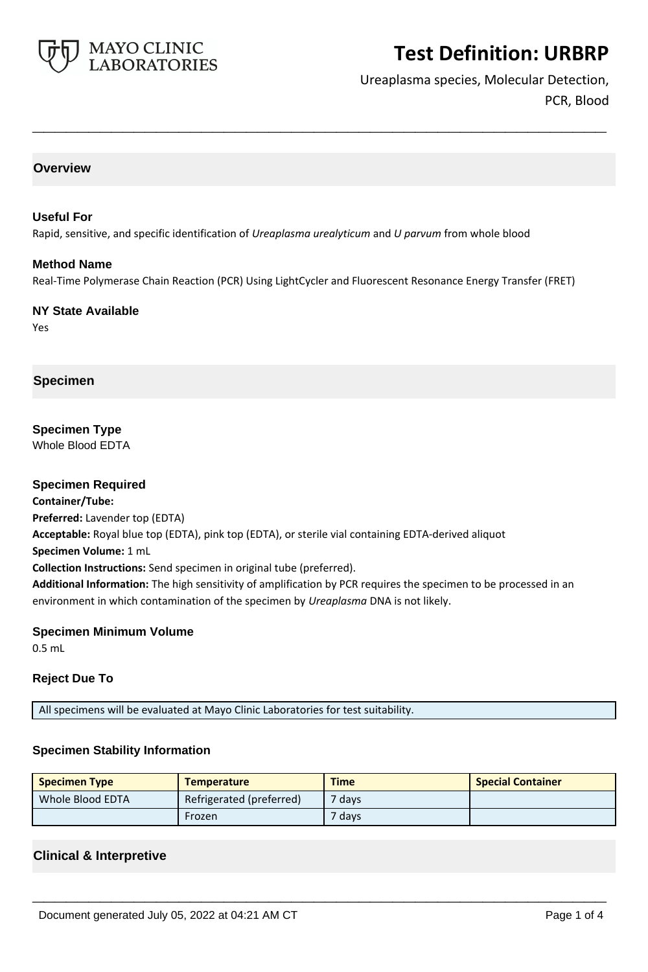

Ureaplasma species, Molecular Detection, PCR, Blood

### **Overview**

#### **Useful For**

Rapid, sensitive, and specific identification of *Ureaplasma urealyticum* and *U parvum* from whole blood

#### **Method Name**

Real-Time Polymerase Chain Reaction (PCR) Using LightCycler and Fluorescent Resonance Energy Transfer (FRET)

**\_\_\_\_\_\_\_\_\_\_\_\_\_\_\_\_\_\_\_\_\_\_\_\_\_\_\_\_\_\_\_\_\_\_\_\_\_\_\_\_\_\_\_\_\_\_\_\_\_\_\_**

**NY State Available** Yes

### **Specimen**

**Specimen Type** Whole Blood EDTA

### **Specimen Required**

**Container/Tube: Preferred:** Lavender top (EDTA) **Acceptable:** Royal blue top (EDTA), pink top (EDTA), or sterile vial containing EDTA-derived aliquot **Specimen Volume:** 1 mL **Collection Instructions:** Send specimen in original tube (preferred). **Additional Information:** The high sensitivity of amplification by PCR requires the specimen to be processed in an environment in which contamination of the specimen by *Ureaplasma* DNA is not likely.

### **Specimen Minimum Volume**

0.5 mL

### **Reject Due To**

All specimens will be evaluated at Mayo Clinic Laboratories for test suitability.

### **Specimen Stability Information**

| <b>Specimen Type</b> | <b>Temperature</b>       | <b>Time</b>       | <b>Special Container</b> |
|----------------------|--------------------------|-------------------|--------------------------|
| Whole Blood EDTA     | Refrigerated (preferred) | <sup>7</sup> days |                          |
|                      | Frozen                   | 7 days            |                          |

**\_\_\_\_\_\_\_\_\_\_\_\_\_\_\_\_\_\_\_\_\_\_\_\_\_\_\_\_\_\_\_\_\_\_\_\_\_\_\_\_\_\_\_\_\_\_\_\_\_\_\_**

### **Clinical & Interpretive**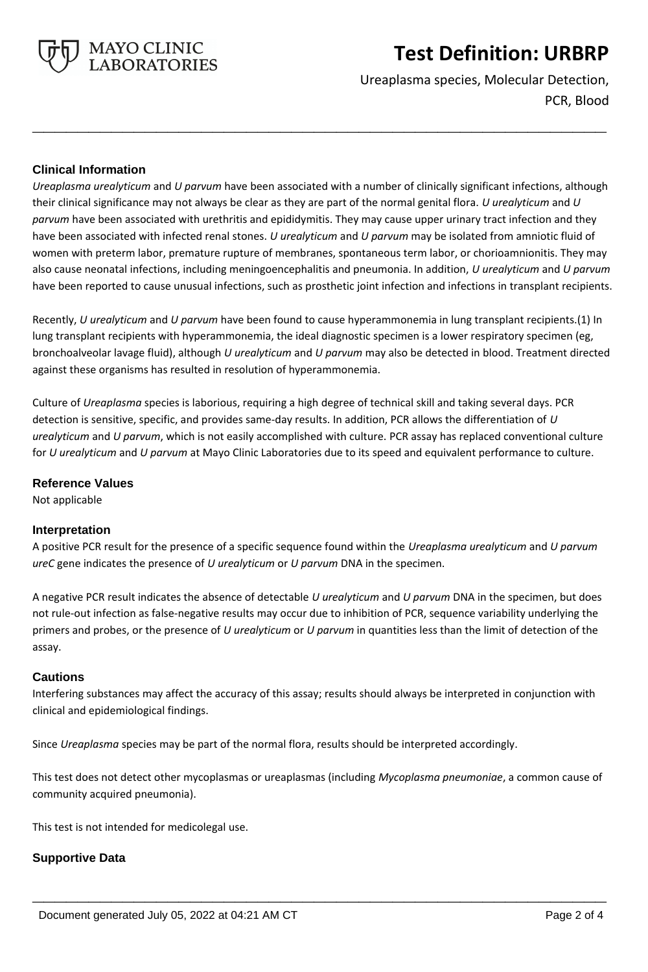

Ureaplasma species, Molecular Detection, PCR, Blood

## **Clinical Information**

*Ureaplasma urealyticum* and *U parvum* have been associated with a number of clinically significant infections, although their clinical significance may not always be clear as they are part of the normal genital flora. *U urealyticum* and *U parvum* have been associated with urethritis and epididymitis. They may cause upper urinary tract infection and they have been associated with infected renal stones. *U urealyticum* and *U parvum* may be isolated from amniotic fluid of women with preterm labor, premature rupture of membranes, spontaneous term labor, or chorioamnionitis. They may also cause neonatal infections, including meningoencephalitis and pneumonia. In addition, *U urealyticum* and *U parvum* have been reported to cause unusual infections, such as prosthetic joint infection and infections in transplant recipients.

**\_\_\_\_\_\_\_\_\_\_\_\_\_\_\_\_\_\_\_\_\_\_\_\_\_\_\_\_\_\_\_\_\_\_\_\_\_\_\_\_\_\_\_\_\_\_\_\_\_\_\_**

Recently, *U urealyticum* and *U parvum* have been found to cause hyperammonemia in lung transplant recipients.(1) In lung transplant recipients with hyperammonemia, the ideal diagnostic specimen is a lower respiratory specimen (eg, bronchoalveolar lavage fluid), although *U urealyticum* and *U parvum* may also be detected in blood. Treatment directed against these organisms has resulted in resolution of hyperammonemia.

Culture of *Ureaplasma* species is laborious, requiring a high degree of technical skill and taking several days. PCR detection is sensitive, specific, and provides same-day results. In addition, PCR allows the differentiation of *U urealyticum* and *U parvum*, which is not easily accomplished with culture. PCR assay has replaced conventional culture for *U urealyticum* and *U parvum* at Mayo Clinic Laboratories due to its speed and equivalent performance to culture.

### **Reference Values**

Not applicable

### **Interpretation**

A positive PCR result for the presence of a specific sequence found within the *Ureaplasma urealyticum* and *U parvum ureC* gene indicates the presence of *U urealyticum* or *U parvum* DNA in the specimen.

A negative PCR result indicates the absence of detectable *U urealyticum* and *U parvum* DNA in the specimen, but does not rule-out infection as false-negative results may occur due to inhibition of PCR, sequence variability underlying the primers and probes, or the presence of *U urealyticum* or *U parvum* in quantities less than the limit of detection of the assay.

### **Cautions**

Interfering substances may affect the accuracy of this assay; results should always be interpreted in conjunction with clinical and epidemiological findings.

Since *Ureaplasma* species may be part of the normal flora, results should be interpreted accordingly.

This test does not detect other mycoplasmas or ureaplasmas (including *Mycoplasma pneumoniae*, a common cause of community acquired pneumonia).

**\_\_\_\_\_\_\_\_\_\_\_\_\_\_\_\_\_\_\_\_\_\_\_\_\_\_\_\_\_\_\_\_\_\_\_\_\_\_\_\_\_\_\_\_\_\_\_\_\_\_\_**

This test is not intended for medicolegal use.

### **Supportive Data**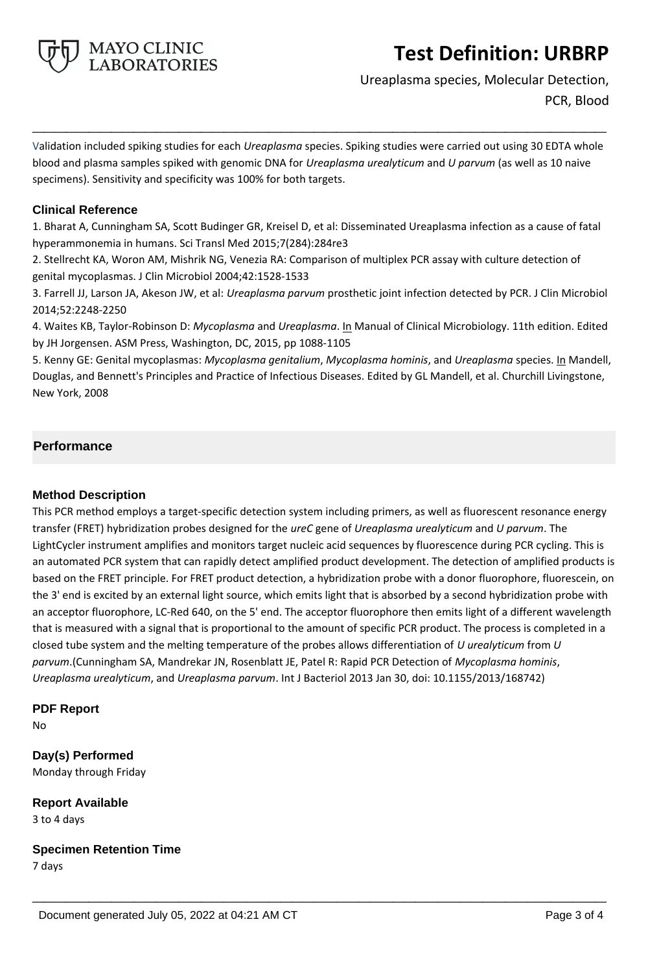

Ureaplasma species, Molecular Detection, PCR, Blood

Validation included spiking studies for each *Ureaplasma* species. Spiking studies were carried out using 30 EDTA whole blood and plasma samples spiked with genomic DNA for *Ureaplasma urealyticum* and *U parvum* (as well as 10 naive specimens). Sensitivity and specificity was 100% for both targets.

**\_\_\_\_\_\_\_\_\_\_\_\_\_\_\_\_\_\_\_\_\_\_\_\_\_\_\_\_\_\_\_\_\_\_\_\_\_\_\_\_\_\_\_\_\_\_\_\_\_\_\_**

## **Clinical Reference**

1. Bharat A, Cunningham SA, Scott Budinger GR, Kreisel D, et al: Disseminated Ureaplasma infection as a cause of fatal hyperammonemia in humans. Sci Transl Med 2015;7(284):284re3

2. Stellrecht KA, Woron AM, Mishrik NG, Venezia RA: Comparison of multiplex PCR assay with culture detection of genital mycoplasmas. J Clin Microbiol 2004;42:1528-1533

3. Farrell JJ, Larson JA, Akeson JW, et al: *Ureaplasma parvum* prosthetic joint infection detected by PCR. J Clin Microbiol 2014;52:2248-2250

4. Waites KB, Taylor-Robinson D: *Mycoplasma* and *Ureaplasma*. In Manual of Clinical Microbiology. 11th edition. Edited by JH Jorgensen. ASM Press, Washington, DC, 2015, pp 1088-1105

5. Kenny GE: Genital mycoplasmas: *Mycoplasma genitalium*, *Mycoplasma hominis*, and *Ureaplasma* species. In Mandell, Douglas, and Bennett's Principles and Practice of Infectious Diseases. Edited by GL Mandell, et al. Churchill Livingstone, New York, 2008

## **Performance**

## **Method Description**

This PCR method employs a target-specific detection system including primers, as well as fluorescent resonance energy transfer (FRET) hybridization probes designed for the *ureC* gene of *Ureaplasma urealyticum* and *U parvum*. The LightCycler instrument amplifies and monitors target nucleic acid sequences by fluorescence during PCR cycling. This is an automated PCR system that can rapidly detect amplified product development. The detection of amplified products is based on the FRET principle. For FRET product detection, a hybridization probe with a donor fluorophore, fluorescein, on the 3' end is excited by an external light source, which emits light that is absorbed by a second hybridization probe with an acceptor fluorophore, LC-Red 640, on the 5' end. The acceptor fluorophore then emits light of a different wavelength that is measured with a signal that is proportional to the amount of specific PCR product. The process is completed in a closed tube system and the melting temperature of the probes allows differentiation of *U urealyticum* from *U parvum*.(Cunningham SA, Mandrekar JN, Rosenblatt JE, Patel R: Rapid PCR Detection of *Mycoplasma hominis*, *Ureaplasma urealyticum*, and *Ureaplasma parvum*. Int J Bacteriol 2013 Jan 30, doi: 10.1155/2013/168742)

**\_\_\_\_\_\_\_\_\_\_\_\_\_\_\_\_\_\_\_\_\_\_\_\_\_\_\_\_\_\_\_\_\_\_\_\_\_\_\_\_\_\_\_\_\_\_\_\_\_\_\_**

## **PDF Report**

No

**Day(s) Performed** Monday through Friday

**Report Available** 3 to 4 days

**Specimen Retention Time**

7 days